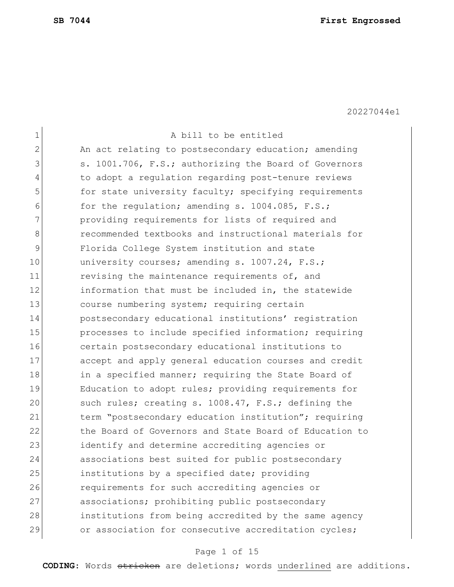| $\mathbf 1$   | A bill to be entitled                                  |
|---------------|--------------------------------------------------------|
| $\mathbf{2}$  | An act relating to postsecondary education; amending   |
| 3             | s. 1001.706, F.S.; authorizing the Board of Governors  |
|               |                                                        |
| 4             | to adopt a regulation regarding post-tenure reviews    |
| 5             | for state university faculty; specifying requirements  |
| 6             | for the regulation; amending s. 1004.085, F.S.;        |
| 7             | providing requirements for lists of required and       |
| 8             | recommended textbooks and instructional materials for  |
| $\mathcal{G}$ | Florida College System institution and state           |
| 10            | university courses; amending s. 1007.24, F.S.;         |
| 11            | revising the maintenance requirements of, and          |
| 12            | information that must be included in, the statewide    |
| 13            | course numbering system; requiring certain             |
| 14            | postsecondary educational institutions' registration   |
| 15            | processes to include specified information; requiring  |
| 16            | certain postsecondary educational institutions to      |
| 17            | accept and apply general education courses and credit  |
| 18            | in a specified manner; requiring the State Board of    |
| 19            | Education to adopt rules; providing requirements for   |
| 20            | such rules; creating s. 1008.47, F.S.; defining the    |
| 21            | term "postsecondary education institution"; requiring  |
| 22            | the Board of Governors and State Board of Education to |
| 23            | identify and determine accrediting agencies or         |
| 24            | associations best suited for public postsecondary      |
| 25            | institutions by a specified date; providing            |
| 26            | requirements for such accrediting agencies or          |
| 27            | associations; prohibiting public postsecondary         |
| 28            | institutions from being accredited by the same agency  |
| 29            | or association for consecutive accreditation cycles;   |
|               |                                                        |

# Page 1 of 15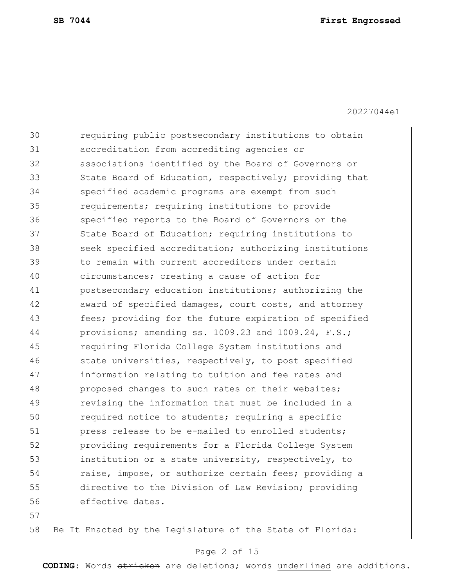30 requiring public postsecondary institutions to obtain 31 accreditation from accrediting agencies or 32 associations identified by the Board of Governors or 33 State Board of Education, respectively; providing that 34 specified academic programs are exempt from such 35 requirements; requiring institutions to provide 36 specified reports to the Board of Governors or the 37 State Board of Education; requiring institutions to 38 seek specified accreditation; authorizing institutions 39 bill to remain with current accreditors under certain 40 circumstances; creating a cause of action for 41 postsecondary education institutions; authorizing the 42 award of specified damages, court costs, and attorney 43 **fees;** providing for the future expiration of specified 44 provisions; amending ss. 1009.23 and 1009.24, F.S.; 45 requiring Florida College System institutions and 46 state universities, respectively, to post specified 47 information relating to tuition and fee rates and 48 proposed changes to such rates on their websites; 49 revising the information that must be included in a 50 required notice to students; requiring a specific 51 press release to be e-mailed to enrolled students; 52 providing requirements for a Florida College System 53 institution or a state university, respectively, to 54 raise, impose, or authorize certain fees; providing a 55 directive to the Division of Law Revision; providing 56 effective dates. 57

58 Be It Enacted by the Legislature of the State of Florida:

#### Page 2 of 15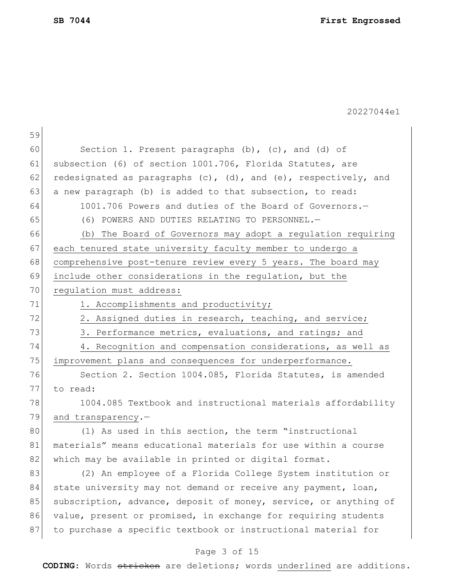|    | 20227044e1                                                               |
|----|--------------------------------------------------------------------------|
| 59 |                                                                          |
| 60 | Section 1. Present paragraphs (b), (c), and (d) of                       |
| 61 | subsection (6) of section 1001.706, Florida Statutes, are                |
| 62 | redesignated as paragraphs $(c)$ , $(d)$ , and $(e)$ , respectively, and |
| 63 | a new paragraph (b) is added to that subsection, to read:                |
| 64 | 1001.706 Powers and duties of the Board of Governors.-                   |
| 65 | (6) POWERS AND DUTIES RELATING TO PERSONNEL.-                            |
| 66 | (b) The Board of Governors may adopt a regulation requiring              |
| 67 | each tenured state university faculty member to undergo a                |
| 68 | comprehensive post-tenure review every 5 years. The board may            |
| 69 | include other considerations in the regulation, but the                  |
| 70 | regulation must address:                                                 |
| 71 | 1. Accomplishments and productivity;                                     |
| 72 | 2. Assigned duties in research, teaching, and service;                   |
| 73 | 3. Performance metrics, evaluations, and ratings; and                    |
| 74 | 4. Recognition and compensation considerations, as well as               |
| 75 | improvement plans and consequences for underperformance.                 |
| 76 | Section 2. Section 1004.085, Florida Statutes, is amended                |
| 77 | to read:                                                                 |
| 78 | 1004.085 Textbook and instructional materials affordability              |
| 79 | and transparency.-                                                       |
| 80 | (1) As used in this section, the term "instructional                     |
| 81 | materials" means educational materials for use within a course           |
| 82 | which may be available in printed or digital format.                     |
| 83 | (2) An employee of a Florida College System institution or               |
| 84 | state university may not demand or receive any payment, loan,            |
| 85 | subscription, advance, deposit of money, service, or anything of         |
| 86 | value, present or promised, in exchange for requiring students           |
| 87 | to purchase a specific textbook or instructional material for            |

# Page 3 of 15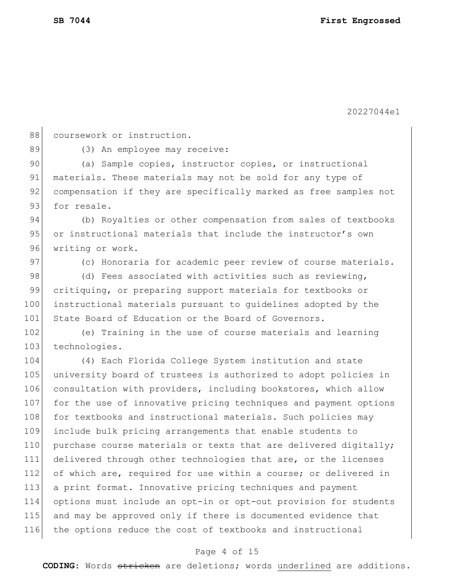88 coursework or instruction.

89 (3) An employee may receive:

90 (a) Sample copies, instructor copies, or instructional 91 materials. These materials may not be sold for any type of 92 compensation if they are specifically marked as free samples not 93 for resale.

94 (b) Royalties or other compensation from sales of textbooks 95 or instructional materials that include the instructor's own 96 writing or work.

97 (c) Honoraria for academic peer review of course materials.

98 (d) Fees associated with activities such as reviewing, 99 critiquing, or preparing support materials for textbooks or 100 instructional materials pursuant to guidelines adopted by the 101 State Board of Education or the Board of Governors.

102 (e) Training in the use of course materials and learning 103 technologies.

104 (4) Each Florida College System institution and state 105 university board of trustees is authorized to adopt policies in 106 consultation with providers, including bookstores, which allow 107 for the use of innovative pricing techniques and payment options 108 for textbooks and instructional materials. Such policies may 109 include bulk pricing arrangements that enable students to 110 purchase course materials or texts that are delivered digitally; 111 delivered through other technologies that are, or the licenses 112 of which are, required for use within a course; or delivered in 113 a print format. Innovative pricing techniques and payment 114 options must include an opt-in or opt-out provision for students 115 and may be approved only if there is documented evidence that 116 the options reduce the cost of textbooks and instructional

#### Page 4 of 15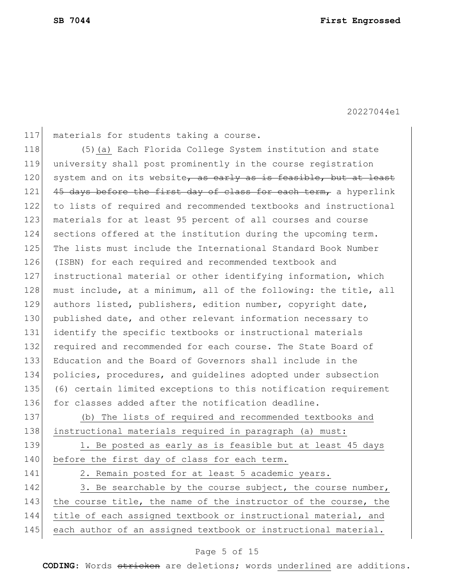117 materials for students taking a course.

118 (5)(a) Each Florida College System institution and state 119 university shall post prominently in the course registration 120 system and on its website, as early as is feasible, but at least 121 45 days before the first day of class for each term, a hyperlink 122 to lists of required and recommended textbooks and instructional 123 | materials for at least 95 percent of all courses and course 124 sections offered at the institution during the upcoming term. 125 The lists must include the International Standard Book Number 126 (ISBN) for each required and recommended textbook and 127 instructional material or other identifying information, which 128 must include, at a minimum, all of the following: the title, all 129 authors listed, publishers, edition number, copyright date, 130 published date, and other relevant information necessary to 131 identify the specific textbooks or instructional materials 132 required and recommended for each course. The State Board of 133 Education and the Board of Governors shall include in the 134 policies, procedures, and guidelines adopted under subsection 135 (6) certain limited exceptions to this notification requirement 136 for classes added after the notification deadline. 137 (b) The lists of required and recommended textbooks and 138 instructional materials required in paragraph (a) must: 139 1. Be posted as early as is feasible but at least 45 days 140 before the first day of class for each term.

141 2. Remain posted for at least 5 academic years.

142 3. Be searchable by the course subject, the course number, 143 the course title, the name of the instructor of the course, the 144 title of each assigned textbook or instructional material, and 145 each author of an assigned textbook or instructional material.

#### Page 5 of 15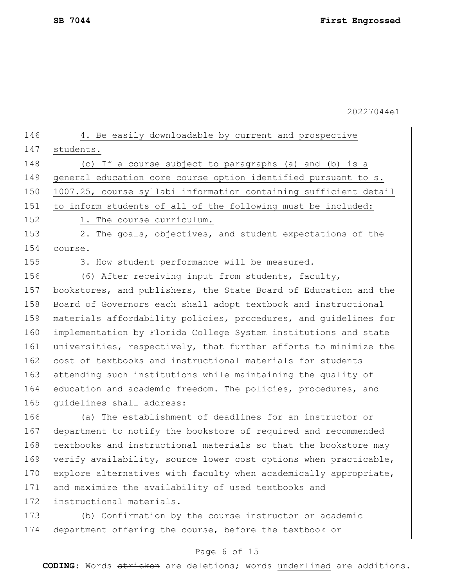Page 6 of 15 146 4. Be easily downloadable by current and prospective 147 students. 148  $\vert$  (c) If a course subject to paragraphs (a) and (b) is a 149 general education core course option identified pursuant to s. 150 1007.25, course syllabi information containing sufficient detail 151 to inform students of all of the following must be included: 152 1. The course curriculum. 153 2. The goals, objectives, and student expectations of the 154 course. 155 3. How student performance will be measured. 156 (6) After receiving input from students, faculty, 157 bookstores, and publishers, the State Board of Education and the 158 Board of Governors each shall adopt textbook and instructional 159 materials affordability policies, procedures, and guidelines for 160 implementation by Florida College System institutions and state 161 universities, respectively, that further efforts to minimize the 162 cost of textbooks and instructional materials for students 163 attending such institutions while maintaining the quality of 164 education and academic freedom. The policies, procedures, and 165 quidelines shall address: 166 (a) The establishment of deadlines for an instructor or 167 department to notify the bookstore of required and recommended 168 textbooks and instructional materials so that the bookstore may 169 verify availability, source lower cost options when practicable, 170 explore alternatives with faculty when academically appropriate, 171 and maximize the availability of used textbooks and 172 instructional materials. 173 (b) Confirmation by the course instructor or academic 174 department offering the course, before the textbook or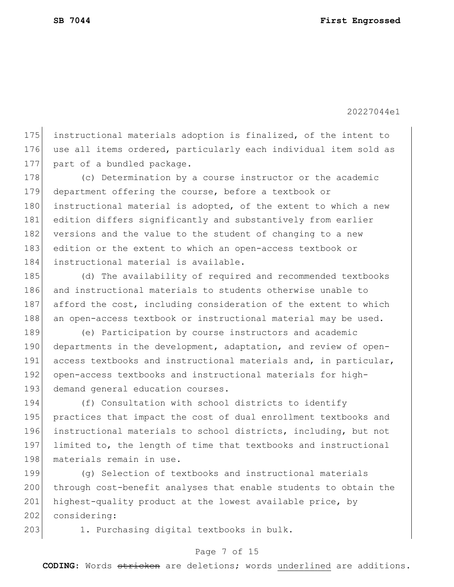175 instructional materials adoption is finalized, of the intent to 176 use all items ordered, particularly each individual item sold as 177 part of a bundled package.

178 (c) Determination by a course instructor or the academic 179 department offering the course, before a textbook or 180 instructional material is adopted, of the extent to which a new 181 edition differs significantly and substantively from earlier 182 versions and the value to the student of changing to a new 183 edition or the extent to which an open-access textbook or 184 instructional material is available.

185 (d) The availability of required and recommended textbooks 186 and instructional materials to students otherwise unable to 187 afford the cost, including consideration of the extent to which 188 an open-access textbook or instructional material may be used.

189 (e) Participation by course instructors and academic 190 departments in the development, adaptation, and review of open-191 access textbooks and instructional materials and, in particular, 192 open-access textbooks and instructional materials for high-193 demand general education courses.

194 (f) Consultation with school districts to identify 195 practices that impact the cost of dual enrollment textbooks and 196 instructional materials to school districts, including, but not 197 limited to, the length of time that textbooks and instructional 198 materials remain in use.

199 (g) Selection of textbooks and instructional materials 200 through cost-benefit analyses that enable students to obtain the 201 highest-quality product at the lowest available price, by 202 considering:

203 1. Purchasing digital textbooks in bulk.

#### Page 7 of 15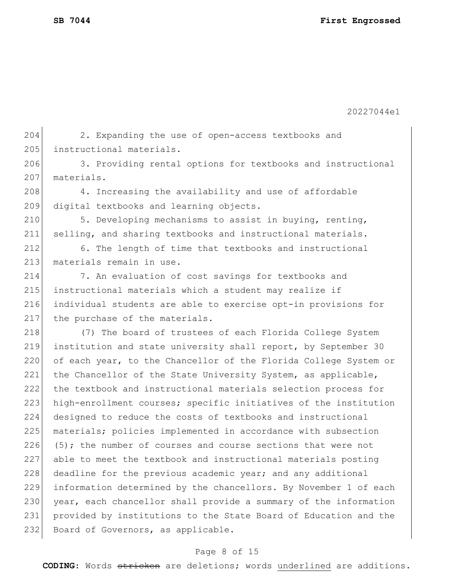205 instructional materials.

20227044e1

Page 8 of 15 **CODING**: Words stricken are deletions; words underlined are additions. 206 3. Providing rental options for textbooks and instructional 207 materials. 208 4. Increasing the availability and use of affordable 209 digital textbooks and learning objects. 210 5. Developing mechanisms to assist in buying, renting, 211 selling, and sharing textbooks and instructional materials. 212 6. The length of time that textbooks and instructional 213 materials remain in use. 214 7. An evaluation of cost savings for textbooks and 215 | instructional materials which a student may realize if 216 individual students are able to exercise opt-in provisions for 217 the purchase of the materials. 218 (7) The board of trustees of each Florida College System 219 institution and state university shall report, by September 30 220 of each year, to the Chancellor of the Florida College System or 221 the Chancellor of the State University System, as applicable, 222 the textbook and instructional materials selection process for 223 high-enrollment courses; specific initiatives of the institution 224 designed to reduce the costs of textbooks and instructional 225 materials; policies implemented in accordance with subsection 226 (5); the number of courses and course sections that were not 227 able to meet the textbook and instructional materials posting 228 deadline for the previous academic year; and any additional 229 information determined by the chancellors. By November 1 of each 230 year, each chancellor shall provide a summary of the information 231 provided by institutions to the State Board of Education and the 232 Board of Governors, as applicable.

204 2. Expanding the use of open-access textbooks and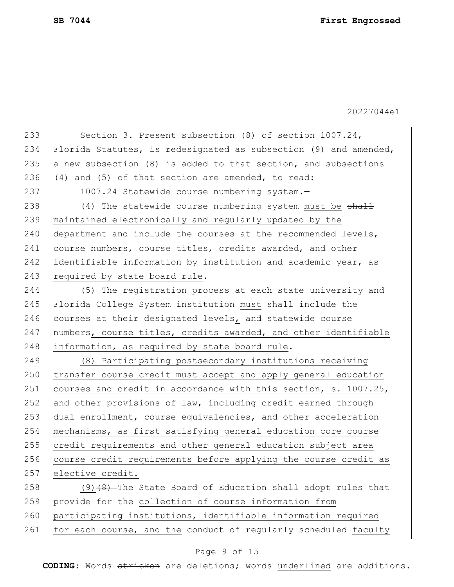| 233 | Section 3. Present subsection (8) of section 1007.24,            |
|-----|------------------------------------------------------------------|
| 234 | Florida Statutes, is redesignated as subsection (9) and amended, |
| 235 | a new subsection (8) is added to that section, and subsections   |
| 236 | (4) and (5) of that section are amended, to read:                |
| 237 | 1007.24 Statewide course numbering system.-                      |
| 238 | $(4)$ The statewide course numbering system must be $shath$      |
| 239 | maintained electronically and regularly updated by the           |
| 240 | department and include the courses at the recommended levels,    |
| 241 | course numbers, course titles, credits awarded, and other        |
| 242 | identifiable information by institution and academic year, as    |
| 243 | required by state board rule.                                    |
| 244 | (5) The registration process at each state university and        |
| 245 | Florida College System institution must shall include the        |
| 246 | courses at their designated levels, and statewide course         |
| 247 | numbers, course titles, credits awarded, and other identifiable  |
| 248 | information, as required by state board rule.                    |
| 249 | (8) Participating postsecondary institutions receiving           |
| 250 | transfer course credit must accept and apply general education   |
| 251 | courses and credit in accordance with this section, s. 1007.25,  |
| 252 | and other provisions of law, including credit earned through     |
| 253 | dual enrollment, course equivalencies, and other acceleration    |
| 254 | mechanisms, as first satisfying general education core course    |
| 255 | credit requirements and other general education subject area     |
| 256 | course credit requirements before applying the course credit as  |
| 257 | elective credit.                                                 |
| 258 | $(9)$ $(4)$ The State Board of Education shall adopt rules that  |
| 259 | provide for the collection of course information from            |
| 260 | participating institutions, identifiable information required    |
| 261 | for each course, and the conduct of regularly scheduled faculty  |

# Page 9 of 15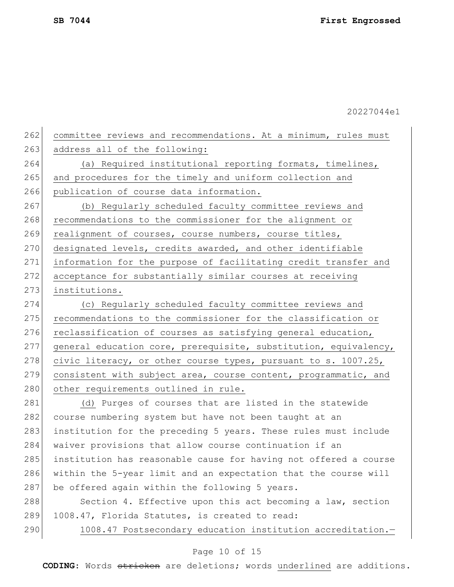| 262 | committee reviews and recommendations. At a minimum, rules must  |
|-----|------------------------------------------------------------------|
| 263 | address all of the following:                                    |
| 264 | (a) Required institutional reporting formats, timelines,         |
| 265 | and procedures for the timely and uniform collection and         |
| 266 | publication of course data information.                          |
| 267 | (b) Regularly scheduled faculty committee reviews and            |
| 268 | recommendations to the commissioner for the alignment or         |
| 269 | realignment of courses, course numbers, course titles,           |
| 270 | designated levels, credits awarded, and other identifiable       |
| 271 | information for the purpose of facilitating credit transfer and  |
| 272 | acceptance for substantially similar courses at receiving        |
| 273 | institutions.                                                    |
| 274 | (c) Regularly scheduled faculty committee reviews and            |
| 275 | recommendations to the commissioner for the classification or    |
| 276 | reclassification of courses as satisfying general education,     |
| 277 | general education core, prerequisite, substitution, equivalency, |
| 278 | civic literacy, or other course types, pursuant to s. 1007.25,   |
| 279 | consistent with subject area, course content, programmatic, and  |
| 280 | other requirements outlined in rule.                             |
| 281 | (d) Purges of courses that are listed in the statewide           |
| 282 | course numbering system but have not been taught at an           |
| 283 | institution for the preceding 5 years. These rules must include  |
| 284 | waiver provisions that allow course continuation if an           |
| 285 | institution has reasonable cause for having not offered a course |
| 286 | within the 5-year limit and an expectation that the course will  |
| 287 | be offered again within the following 5 years.                   |
| 288 | Section 4. Effective upon this act becoming a law, section       |
| 289 | 1008.47, Florida Statutes, is created to read:                   |
| 290 | 1008.47 Postsecondary education institution accreditation.-      |
|     | Page 10 of 15                                                    |
|     |                                                                  |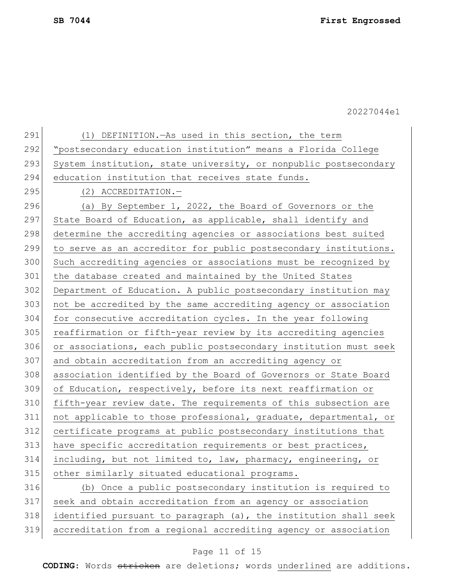| 291 | (1) DEFINITION. - As used in this section, the term              |
|-----|------------------------------------------------------------------|
| 292 | "postsecondary education institution" means a Florida College    |
| 293 | System institution, state university, or nonpublic postsecondary |
| 294 | education institution that receives state funds.                 |
| 295 | $(2)$ ACCREDITATION. -                                           |
| 296 | (a) By September 1, 2022, the Board of Governors or the          |
| 297 | State Board of Education, as applicable, shall identify and      |
| 298 | determine the accrediting agencies or associations best suited   |
| 299 | to serve as an accreditor for public postsecondary institutions. |
| 300 | Such accrediting agencies or associations must be recognized by  |
| 301 | the database created and maintained by the United States         |
| 302 | Department of Education. A public postsecondary institution may  |
| 303 | not be accredited by the same accrediting agency or association  |
| 304 | for consecutive accreditation cycles. In the year following      |
| 305 | reaffirmation or fifth-year review by its accrediting agencies   |
| 306 | or associations, each public postsecondary institution must seek |
| 307 | and obtain accreditation from an accrediting agency or           |
| 308 | association identified by the Board of Governors or State Board  |
| 309 | of Education, respectively, before its next reaffirmation or     |
| 310 | fifth-year review date. The requirements of this subsection are  |
| 311 | not applicable to those professional, graduate, departmental, or |
| 312 | certificate programs at public postsecondary institutions that   |
| 313 | have specific accreditation requirements or best practices,      |
| 314 | including, but not limited to, law, pharmacy, engineering, or    |
| 315 | other similarly situated educational programs.                   |
| 316 | (b) Once a public postsecondary institution is required to       |
| 317 | seek and obtain accreditation from an agency or association      |
| 318 | identified pursuant to paragraph (a), the institution shall seek |
| 319 | accreditation from a regional accrediting agency or association  |
|     |                                                                  |

# Page 11 of 15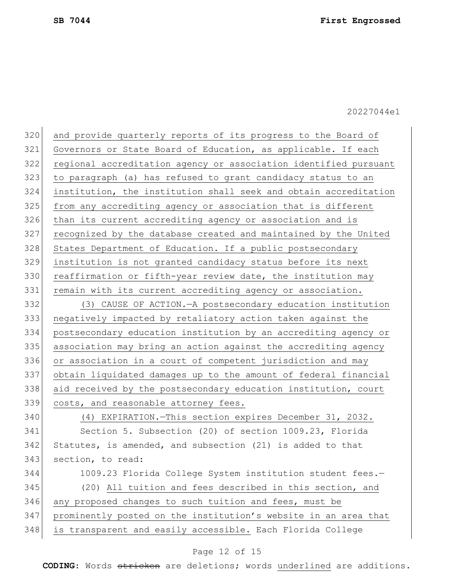| 320 | and provide quarterly reports of its progress to the Board of    |
|-----|------------------------------------------------------------------|
| 321 | Governors or State Board of Education, as applicable. If each    |
| 322 | regional accreditation agency or association identified pursuant |
| 323 | to paragraph (a) has refused to grant candidacy status to an     |
| 324 | institution, the institution shall seek and obtain accreditation |
| 325 | from any accrediting agency or association that is different     |
| 326 | than its current accrediting agency or association and is        |
| 327 | recognized by the database created and maintained by the United  |
| 328 | States Department of Education. If a public postsecondary        |
| 329 | institution is not granted candidacy status before its next      |
| 330 | reaffirmation or fifth-year review date, the institution may     |
| 331 | remain with its current accrediting agency or association.       |
| 332 | (3) CAUSE OF ACTION. - A postsecondary education institution     |
| 333 | negatively impacted by retaliatory action taken against the      |
| 334 | postsecondary education institution by an accrediting agency or  |
| 335 | association may bring an action against the accrediting agency   |
| 336 | or association in a court of competent jurisdiction and may      |
| 337 | obtain liquidated damages up to the amount of federal financial  |
| 338 | aid received by the postsecondary education institution, court   |
| 339 | costs, and reasonable attorney fees.                             |
| 340 | (4) EXPIRATION. - This section expires December 31, 2032.        |
| 341 | Section 5. Subsection (20) of section 1009.23, Florida           |
| 342 | Statutes, is amended, and subsection (21) is added to that       |
| 343 | section, to read:                                                |
| 344 | 1009.23 Florida College System institution student fees.-        |
| 345 | (20) All tuition and fees described in this section, and         |
| 346 | any proposed changes to such tuition and fees, must be           |
| 347 | prominently posted on the institution's website in an area that  |
| 348 | is transparent and easily accessible. Each Florida College       |
|     |                                                                  |

# Page 12 of 15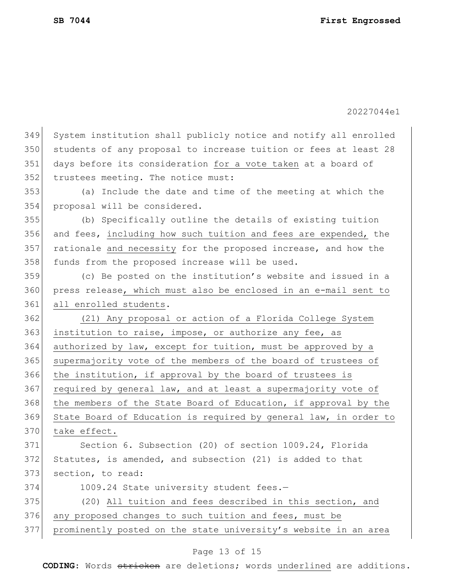20227044e1 349 System institution shall publicly notice and notify all enrolled 350 students of any proposal to increase tuition or fees at least 28 351 days before its consideration for a vote taken at a board of 352 trustees meeting. The notice must: 353 (a) Include the date and time of the meeting at which the 354 proposal will be considered. 355 (b) Specifically outline the details of existing tuition 356 and fees, including how such tuition and fees are expended, the 357 rationale and necessity for the proposed increase, and how the 358 funds from the proposed increase will be used. 359 (c) Be posted on the institution's website and issued in a 360 press release, which must also be enclosed in an e-mail sent to 361 all enrolled students. 362 (21) Any proposal or action of a Florida College System  $363$  institution to raise, impose, or authorize any fee, as 364 authorized by law, except for tuition, must be approved by a 365 supermajority vote of the members of the board of trustees of 366 the institution, if approval by the board of trustees is 367 required by general law, and at least a supermajority vote of 368 the members of the State Board of Education, if approval by the 369 State Board of Education is required by general law, in order to 370 take effect. 371 Section 6. Subsection (20) of section 1009.24, Florida 372 Statutes, is amended, and subsection (21) is added to that 373 section, to read: 374 1009.24 State university student fees.-375 (20) All tuition and fees described in this section, and 376 any proposed changes to such tuition and fees, must be 377 prominently posted on the state university's website in an area

#### Page 13 of 15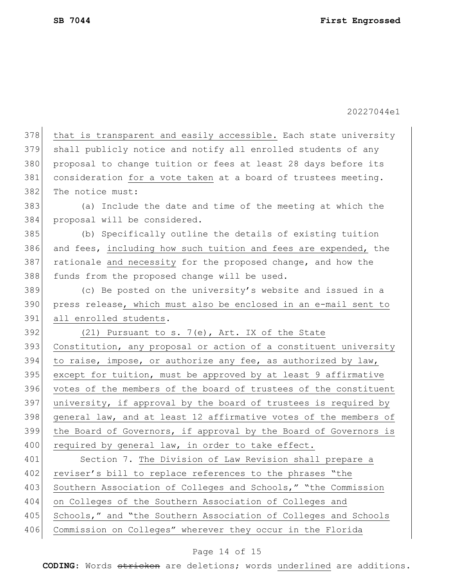378 that is transparent and easily accessible. Each state university 379 shall publicly notice and notify all enrolled students of any 380 proposal to change tuition or fees at least 28 days before its 381 consideration for a vote taken at a board of trustees meeting. 382 The notice must: 383 (a) Include the date and time of the meeting at which the 384 proposal will be considered. 385 (b) Specifically outline the details of existing tuition 386 and fees, including how such tuition and fees are expended, the 387 rationale and necessity for the proposed change, and how the 388 funds from the proposed change will be used. 389 (c) Be posted on the university's website and issued in a 390 press release, which must also be enclosed in an e-mail sent to 391 all enrolled students.  $392$  (21) Pursuant to s. 7(e), Art. IX of the State 393 Constitution, any proposal or action of a constituent university 394 to raise, impose, or authorize any fee, as authorized by law, 395 except for tuition, must be approved by at least 9 affirmative 396 votes of the members of the board of trustees of the constituent 397 university, if approval by the board of trustees is required by 398 general law, and at least 12 affirmative votes of the members of 399 the Board of Governors, if approval by the Board of Governors is 400 required by general law, in order to take effect. 401 Section 7. The Division of Law Revision shall prepare a 402 reviser's bill to replace references to the phrases "the 403 Southern Association of Colleges and Schools," "the Commission 404 on Colleges of the Southern Association of Colleges and 405 Schools," and "the Southern Association of Colleges and Schools 406 Commission on Colleges" wherever they occur in the Florida

#### Page 14 of 15